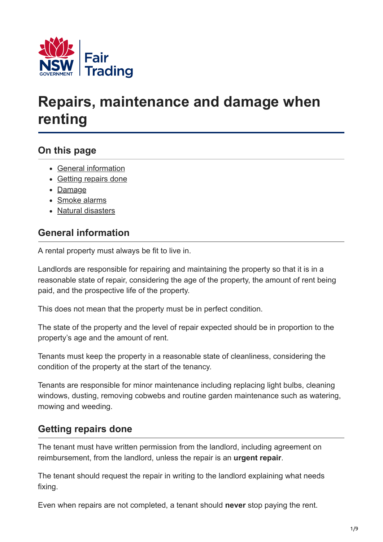

# **Repairs, maintenance and damage when renting**

# **On this page**

- [General information](#page-0-0)
- [Getting repairs done](#page-0-1)
- [Damage](#page-2-0)
- [Smoke alarms](#page-2-1)
- [Natural disasters](#page-6-0)

## <span id="page-0-0"></span>**General information**

A rental property must always be fit to live in.

Landlords are responsible for repairing and maintaining the property so that it is in a reasonable state of repair, considering the age of the property, the amount of rent being paid, and the prospective life of the property.

This does not mean that the property must be in perfect condition.

The state of the property and the level of repair expected should be in proportion to the property's age and the amount of rent.

Tenants must keep the property in a reasonable state of cleanliness, considering the condition of the property at the start of the tenancy.

Tenants are responsible for minor maintenance including replacing light bulbs, cleaning windows, dusting, removing cobwebs and routine garden maintenance such as watering, mowing and weeding.

# <span id="page-0-1"></span>**Getting repairs done**

The tenant must have written permission from the landlord, including agreement on reimbursement, from the landlord, unless the repair is an **urgent repair**.

The tenant should request the repair in writing to the landlord explaining what needs fixing.

Even when repairs are not completed, a tenant should **never** stop paying the rent.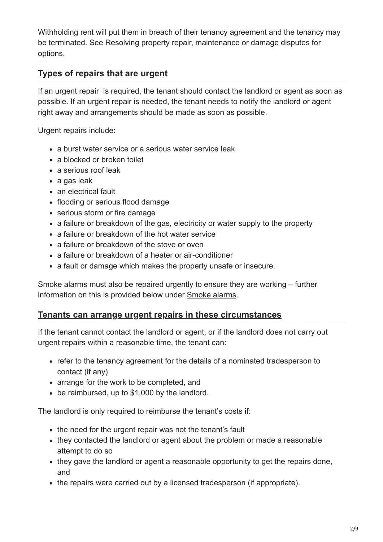Withholding rent will put them in breach of their tenancy agreement and the tenancy may be terminated. See Resolving property repair, maintenance or damage disputes for options.

## **Types of repairs that are urgent**

If an urgent repair is required, the tenant should contact the landlord or agent as soon as possible. If an urgent repair is needed, the tenant needs to notify the landlord or agent right away and arrangements should be made as soon as possible.

Urgent repairs include:

- a burst water service or a serious water service leak
- a blocked or broken toilet
- a serious roof leak
- a gas leak
- an electrical fault
- flooding or serious flood damage
- serious storm or fire damage
- a failure or breakdown of the gas, electricity or water supply to the property
- a failure or breakdown of the hot water service
- a failure or breakdown of the stove or oven
- a failure or breakdown of a heater or air-conditioner
- a fault or damage which makes the property unsafe or insecure.

Smoke alarms must also be repaired urgently to ensure they are working – further information on this is provided below under [Smoke alarms.](#page-2-1)

#### **Tenants can arrange urgent repairs in these circumstances**

If the tenant cannot contact the landlord or agent, or if the landlord does not carry out urgent repairs within a reasonable time, the tenant can:

- refer to the tenancy agreement for the details of a nominated tradesperson to contact (if any)
- arrange for the work to be completed, and
- be reimbursed, up to \$1,000 by the landlord.

The landlord is only required to reimburse the tenant's costs if:

- the need for the urgent repair was not the tenant's fault
- they contacted the landlord or agent about the problem or made a reasonable attempt to do so
- they gave the landlord or agent a reasonable opportunity to get the repairs done, and
- the repairs were carried out by a licensed tradesperson (if appropriate).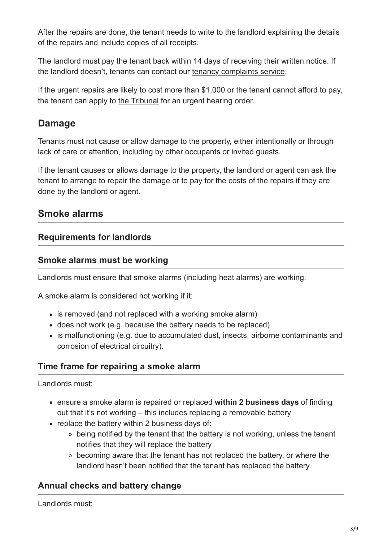After the repairs are done, the tenant needs to write to the landlord explaining the details of the repairs and include copies of all receipts.

The landlord must pay the tenant back within 14 days of receiving their written notice. If the landlord doesn't, tenants can contact our [tenancy complaints service.](https://www.fairtrading.nsw.gov.au/about-fair-trading/our-services/resolving-issues/residential-tenancy-complaints)

If the urgent repairs are likely to cost more than \$1,000 or the tenant cannot afford to pay, the tenant can apply to [the Tribunal](https://www.ncat.nsw.gov.au/Pages/cc/Divisions/Tenancy/tenancy.aspx) for an urgent hearing order.

# <span id="page-2-0"></span>**Damage**

Tenants must not cause or allow damage to the property, either intentionally or through lack of care or attention, including by other occupants or invited guests.

If the tenant causes or allows damage to the property, the landlord or agent can ask the tenant to arrange to repair the damage or to pay for the costs of the repairs if they are done by the landlord or agent.

## <span id="page-2-1"></span>**Smoke alarms**

## **Requirements for landlords**

#### **Smoke alarms must be working**

Landlords must ensure that smoke alarms (including heat alarms) are working.

A smoke alarm is considered not working if it:

- is removed (and not replaced with a working smoke alarm)
- does not work (e.g. because the battery needs to be replaced)
- is malfunctioning (e.g. due to accumulated dust, insects, airborne contaminants and corrosion of electrical circuitry).

#### **Time frame for repairing a smoke alarm**

Landlords must:

- ensure a smoke alarm is repaired or replaced **within 2 business days** of finding out that it's not working – this includes replacing a removable battery
- replace the battery within 2 business days of:
	- $\circ$  being notified by the tenant that the battery is not working, unless the tenant notifies that they will replace the battery
	- $\circ$  becoming aware that the tenant has not replaced the battery, or where the landlord hasn't been notified that the tenant has replaced the battery

## **Annual checks and battery change**

Landlords must: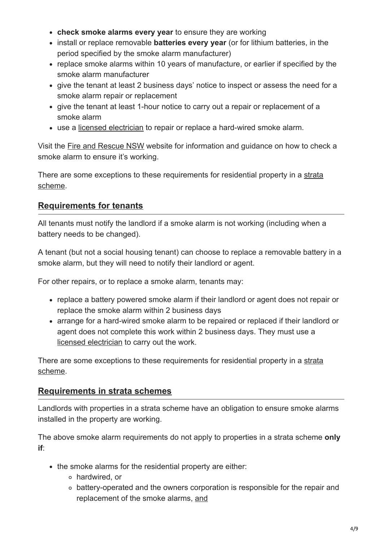- **check smoke alarms every year** to ensure they are working
- install or replace removable **batteries every year** (or for lithium batteries, in the period specified by the smoke alarm manufacturer)
- replace smoke alarms within 10 years of manufacture, or earlier if specified by the smoke alarm manufacturer
- give the tenant at least 2 business days' notice to inspect or assess the need for a smoke alarm repair or replacement
- give the tenant at least 1-hour notice to carry out a repair or replacement of a smoke alarm
- use a [licensed electrician](https://www.onegov.nsw.gov.au/publicregister/#/publicregister/search/Trades) to repair or replace a hard-wired smoke alarm.

Visit the [Fire and Rescue NSW](https://www.fire.nsw.gov.au/) website for information and guidance on how to check a smoke alarm to ensure it's working.

[There are some exceptions to these requirements for residential property in a strata](#page-3-0) scheme.

## **Requirements for tenants**

All tenants must notify the landlord if a smoke alarm is not working (including when a battery needs to be changed).

A tenant (but not a social housing tenant) can choose to replace a removable battery in a smoke alarm, but they will need to notify their landlord or agent.

For other repairs, or to replace a smoke alarm, tenants may:

- replace a battery powered smoke alarm if their landlord or agent does not repair or replace the smoke alarm within 2 business days
- arrange for a hard-wired smoke alarm to be repaired or replaced if their landlord or agent does not complete this work within 2 business days. They must use a [licensed electrician](https://www.onegov.nsw.gov.au/publicregister/#/publicregister/search/Trades) to carry out the work.

[There are some exceptions to these requirements for residential property in a strata](#page-3-0) scheme.

## **Requirements in strata schemes**

<span id="page-3-0"></span>Landlords with properties in a strata scheme have an obligation to ensure smoke alarms installed in the property are working.

The above smoke alarm requirements do not apply to properties in a strata scheme **only if**:

- the smoke alarms for the residential property are either:
	- hardwired, or
	- battery-operated and the owners corporation is responsible for the repair and replacement of the smoke alarms, and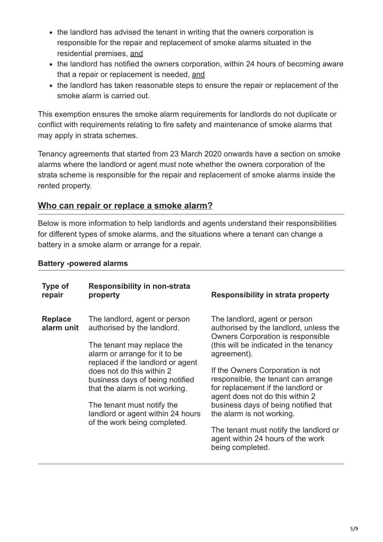- the landlord has advised the tenant in writing that the owners corporation is responsible for the repair and replacement of smoke alarms situated in the residential premises, and
- the landlord has notified the owners corporation, within 24 hours of becoming aware that a repair or replacement is needed, and
- the landlord has taken reasonable steps to ensure the repair or replacement of the smoke alarm is carried out.

This exemption ensures the smoke alarm requirements for landlords do not duplicate or conflict with requirements relating to fire safety and maintenance of smoke alarms that may apply in strata schemes.

Tenancy agreements that started from 23 March 2020 onwards have a section on smoke alarms where the landlord or agent must note whether the owners corporation of the strata scheme is responsible for the repair and replacement of smoke alarms inside the rented property.

## **Who can repair or replace a smoke alarm?**

Below is more information to help landlords and agents understand their responsibilities for different types of smoke alarms, and the situations where a tenant can change a battery in a smoke alarm or arrange for a repair.

#### **Battery -powered alarms**

| <b>Type of</b><br>repair     | <b>Responsibility in non-strata</b><br>property                                                                                                                                                                                                                                                                                                                       | Responsibility in strata property                                                                                                                                                                                                                                                                                                                                                                                                                                                                        |
|------------------------------|-----------------------------------------------------------------------------------------------------------------------------------------------------------------------------------------------------------------------------------------------------------------------------------------------------------------------------------------------------------------------|----------------------------------------------------------------------------------------------------------------------------------------------------------------------------------------------------------------------------------------------------------------------------------------------------------------------------------------------------------------------------------------------------------------------------------------------------------------------------------------------------------|
| <b>Replace</b><br>alarm unit | The landlord, agent or person<br>authorised by the landlord.<br>The tenant may replace the<br>alarm or arrange for it to be<br>replaced if the landlord or agent<br>does not do this within 2<br>business days of being notified<br>that the alarm is not working.<br>The tenant must notify the<br>landlord or agent within 24 hours<br>of the work being completed. | The landlord, agent or person<br>authorised by the landlord, unless the<br><b>Owners Corporation is responsible</b><br>(this will be indicated in the tenancy<br>agreement).<br>If the Owners Corporation is not<br>responsible, the tenant can arrange<br>for replacement if the landlord or<br>agent does not do this within 2<br>business days of being notified that<br>the alarm is not working.<br>The tenant must notify the landlord or<br>agent within 24 hours of the work<br>being completed. |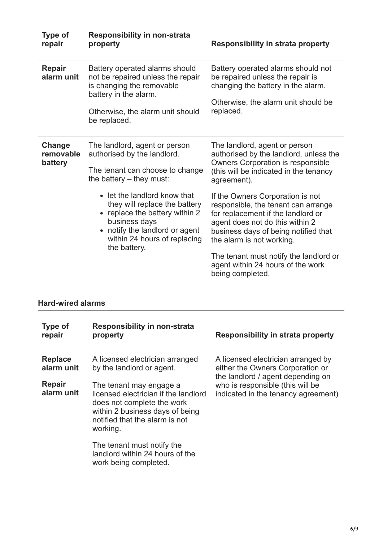| <b>Type of</b><br>repair       | <b>Responsibility in non-strata</b><br>property                                                                                                                                                | <b>Responsibility in strata property</b>                                                                                                                                                                                                                        |
|--------------------------------|------------------------------------------------------------------------------------------------------------------------------------------------------------------------------------------------|-----------------------------------------------------------------------------------------------------------------------------------------------------------------------------------------------------------------------------------------------------------------|
| <b>Repair</b><br>alarm unit    | Battery operated alarms should<br>not be repaired unless the repair<br>is changing the removable<br>battery in the alarm.<br>Otherwise, the alarm unit should<br>be replaced.                  | Battery operated alarms should not<br>be repaired unless the repair is<br>changing the battery in the alarm.<br>Otherwise, the alarm unit should be<br>replaced.                                                                                                |
| Change<br>removable<br>battery | The landlord, agent or person<br>authorised by the landlord.<br>The tenant can choose to change<br>the battery $-$ they must:                                                                  | The landlord, agent or person<br>authorised by the landlord, unless the<br>Owners Corporation is responsible<br>(this will be indicated in the tenancy<br>agreement).                                                                                           |
|                                | • let the landlord know that<br>they will replace the battery<br>replace the battery within 2<br>business days<br>notify the landlord or agent<br>within 24 hours of replacing<br>the battery. | If the Owners Corporation is not<br>responsible, the tenant can arrange<br>for replacement if the landlord or<br>agent does not do this within 2<br>business days of being notified that<br>the alarm is not working.<br>The tenant must notify the landlord or |
|                                |                                                                                                                                                                                                | agent within 24 hours of the work<br>being completed.                                                                                                                                                                                                           |

#### **Hard-wired alarms**

| Type of<br>repair            | <b>Responsibility in non-strata</b><br>property                                                                                                                                | Responsibility in strata property                                                                                                                                                      |
|------------------------------|--------------------------------------------------------------------------------------------------------------------------------------------------------------------------------|----------------------------------------------------------------------------------------------------------------------------------------------------------------------------------------|
| <b>Replace</b><br>alarm unit | A licensed electrician arranged<br>by the landlord or agent.                                                                                                                   | A licensed electrician arranged by<br>either the Owners Corporation or<br>the landlord / agent depending on<br>who is responsible (this will be<br>indicated in the tenancy agreement) |
| <b>Repair</b><br>alarm unit  | The tenant may engage a<br>licensed electrician if the landlord<br>does not complete the work<br>within 2 business days of being<br>notified that the alarm is not<br>working. |                                                                                                                                                                                        |
|                              | The tenant must notify the<br>landlord within 24 hours of the<br>work being completed.                                                                                         |                                                                                                                                                                                        |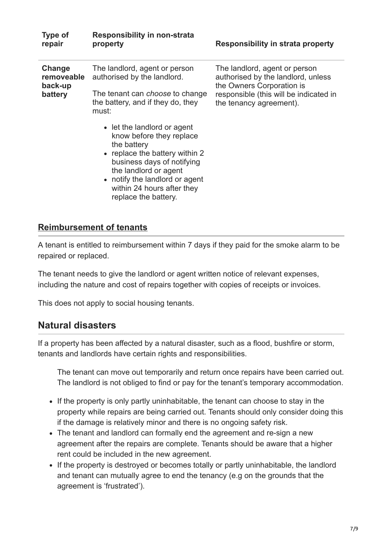| <b>Type of</b><br>repair                   | <b>Responsibility in non-strata</b><br>property                                                                                                                                                                                                                                                                                                                                         | <b>Responsibility in strata property</b>                                                                                                                              |
|--------------------------------------------|-----------------------------------------------------------------------------------------------------------------------------------------------------------------------------------------------------------------------------------------------------------------------------------------------------------------------------------------------------------------------------------------|-----------------------------------------------------------------------------------------------------------------------------------------------------------------------|
| Change<br>removeable<br>back-up<br>battery | The landlord, agent or person<br>authorised by the landlord.<br>The tenant can <i>choose</i> to change<br>the battery, and if they do, they<br>must:<br>• let the landlord or agent<br>know before they replace<br>the battery<br>• replace the battery within 2<br>business days of notifying<br>the landlord or agent<br>• notify the landlord or agent<br>within 24 hours after they | The landlord, agent or person<br>authorised by the landlord, unless<br>the Owners Corporation is<br>responsible (this will be indicated in<br>the tenancy agreement). |
|                                            | replace the battery.                                                                                                                                                                                                                                                                                                                                                                    |                                                                                                                                                                       |

#### **Reimbursement of tenants**

A tenant is entitled to reimbursement within 7 days if they paid for the smoke alarm to be repaired or replaced.

The tenant needs to give the landlord or agent written notice of relevant expenses, including the nature and cost of repairs together with copies of receipts or invoices.

This does not apply to social housing tenants.

# <span id="page-6-0"></span>**Natural disasters**

If a property has been affected by a natural disaster, such as a flood, bushfire or storm, tenants and landlords have certain rights and responsibilities.

The tenant can move out temporarily and return once repairs have been carried out. The landlord is not obliged to find or pay for the tenant's temporary accommodation.

- If the property is only partly uninhabitable, the tenant can choose to stay in the property while repairs are being carried out. Tenants should only consider doing this if the damage is relatively minor and there is no ongoing safety risk.
- The tenant and landlord can formally end the agreement and re-sign a new agreement after the repairs are complete. Tenants should be aware that a higher rent could be included in the new agreement.
- If the property is destroyed or becomes totally or partly uninhabitable, the landlord and tenant can mutually agree to end the tenancy (e.g on the grounds that the agreement is 'frustrated').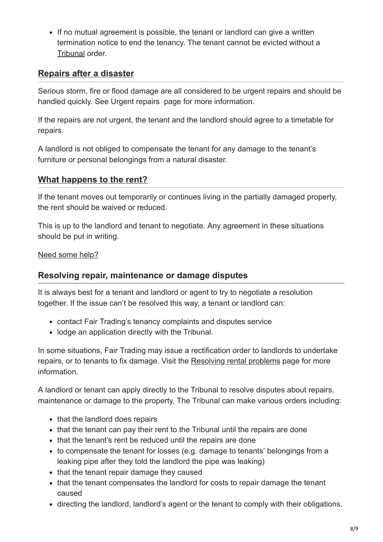• If no mutual agreement is possible, the tenant or landlord can give a written termination notice to end the tenancy. The tenant cannot be evicted without a [Tribunal](https://www.ncat.nsw.gov.au/Pages/cc/Divisions/Tenancy/tenancy.aspx) order.

### **Repairs after a disaster**

Serious storm, fire or flood damage are all considered to be urgent repairs and should be handled quickly. See Urgent repairs page for more information.

If the repairs are not urgent, the tenant and the landlord should agree to a timetable for repairs.

A landlord is not obliged to compensate the tenant for any damage to the tenant's furniture or personal belongings from a natural disaster.

#### **What happens to the rent?**

If the tenant moves out temporarily or continues living in the partially damaged property, the rent should be waived or reduced.

This is up to the landlord and tenant to negotiate. Any agreement in these situations should be put in writing.

#### Need some help?

#### **Resolving repair, maintenance or damage disputes**

It is always best for a tenant and landlord or agent to try to negotiate a resolution together. If the issue can't be resolved this way, a tenant or landlord can:

- contact Fair Trading's tenancy complaints and disputes service
- lodge an application directly with the Tribunal.

In some situations, Fair Trading may issue a rectification order to landlords to undertake repairs, or to tenants to fix damage. Visit the [Resolving rental problems](https://www.fairtrading.nsw.gov.au/housing-and-property/renting/resolving-rental-problems) page for more information.

A landlord or tenant can apply directly to the Tribunal to resolve disputes about repairs, maintenance or damage to the property. The Tribunal can make various orders including:

- that the landlord does repairs
- that the tenant can pay their rent to the Tribunal until the repairs are done
- that the tenant's rent be reduced until the repairs are done
- to compensate the tenant for losses (e.g. damage to tenants' belongings from a leaking pipe after they told the landlord the pipe was leaking)
- that the tenant repair damage they caused
- that the tenant compensates the landlord for costs to repair damage the tenant caused
- directing the landlord, landlord's agent or the tenant to comply with their obligations.